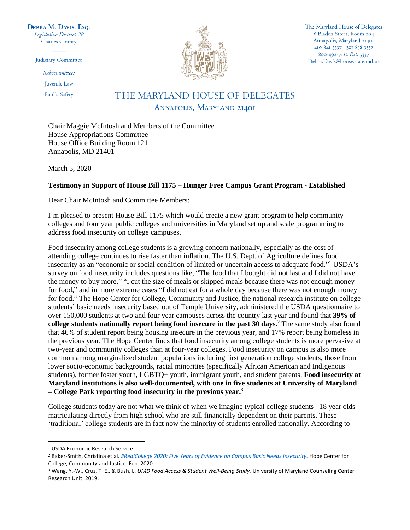DEBRA M. DAVIS, Esq. Legislative District 28 **Charles County** 

Judiciary Committee

Subcommittees

**Iuvenile** Law

**Public Safety** 



The Maryland House of Delegates 6 Bladen Street, Room 204 Annapolis, Maryland 21401 410-841-3337 · 301-858-3337 800-492-7122 Ext. 3337 Debra.Davis@house.state.md.us

## THE MARYLAND HOUSE OF DELEGATES ANNAPOLIS, MARYLAND 21401

Chair Maggie McIntosh and Members of the Committee House Appropriations Committee House Office Building Room 121 Annapolis, MD 21401

March 5, 2020

## **Testimony in Support of House Bill 1175 – Hunger Free Campus Grant Program - Established**

Dear Chair McIntosh and Committee Members:

I'm pleased to present House Bill 1175 which would create a new grant program to help community colleges and four year public colleges and universities in Maryland set up and scale programming to address food insecurity on college campuses.

Food insecurity among college students is a growing concern nationally, especially as the cost of attending college continues to rise faster than inflation. The U.S. Dept. of Agriculture defines food insecurity as an "economic or social condition of limited or uncertain access to adequate food." <sup>1</sup> USDA's survey on food insecurity includes questions like, "The food that I bought did not last and I did not have the money to buy more," "I cut the size of meals or skipped meals because there was not enough money for food," and in more extreme cases "I did not eat for a whole day because there was not enough money for food." The Hope Center for College, Community and Justice, the national research institute on college students' basic needs insecurity based out of Temple University, administered the USDA questionnaire to over 150,000 students at two and four year campuses across the country last year and found that **39% of college students nationally report being food insecure in the past 30 days**. <sup>2</sup> The same study also found that 46% of student report being housing insecure in the previous year, and 17% report being homeless in the previous year. The Hope Center finds that food insecurity among college students is more pervasive at two-year and community colleges than at four-year colleges. Food insecurity on campus is also more common among marginalized student populations including first generation college students, those from lower socio-economic backgrounds, racial minorities (specifically African American and Indigenous students), former foster youth, LGBTQ+ youth, immigrant youth, and student parents. **Food insecurity at Maryland institutions is also well-documented, with one in five students at University of Maryland – College Park reporting food insecurity in the previous year. 3**

College students today are not what we think of when we imagine typical college students –18 year olds matriculating directly from high school who are still financially dependent on their parents. These 'traditional' college students are in fact now the minority of students enrolled nationally. According to

 $\overline{\phantom{a}}$ 

<sup>1</sup> USDA Economic Research Service.

<sup>2</sup> Baker-Smith, Christina et al. *[#RealCollege 2020: Five Years of Evidence on Campus Basic Needs Insecurity.](https://hope4college.com/wp-content/uploads/2020/02/2019_RealCollege_Survey_Report.pdf)* Hope Center for College, Community and Justice. Feb. 2020.

<sup>3</sup> Wang, Y.-W., Cruz, T. E., & Bush, L. *UMD Food Access & Student Well-Being Study.* University of Maryland Counseling Center Research Unit. 2019.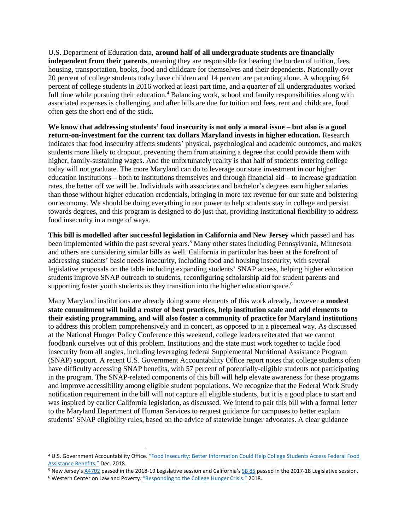U.S. Department of Education data, **around half of all undergraduate students are financially independent from their parents**, meaning they are responsible for bearing the burden of tuition, fees, housing, transportation, books, food and childcare for themselves and their dependents. Nationally over 20 percent of college students today have children and 14 percent are parenting alone. A whopping 64 percent of college students in 2016 worked at least part time, and a quarter of all undergraduates worked full time while pursuing their education.<sup>4</sup> Balancing work, school and family responsibilities along with associated expenses is challenging, and after bills are due for tuition and fees, rent and childcare, food often gets the short end of the stick.

**We know that addressing students' food insecurity is not only a moral issue – but also is a good return-on-investment for the current tax dollars Maryland invests in higher education.** Research indicates that food insecurity affects students' physical, psychological and academic outcomes, and makes students more likely to dropout, preventing them from attaining a degree that could provide them with higher, family-sustaining wages. And the unfortunately reality is that half of students entering college today will not graduate. The more Maryland can do to leverage our state investment in our higher education institutions – both to institutions themselves and through financial aid – to increase graduation rates, the better off we will be. Individuals with associates and bachelor's degrees earn higher salaries than those without higher education credentials, bringing in more tax revenue for our state and bolstering our economy. We should be doing everything in our power to help students stay in college and persist towards degrees, and this program is designed to do just that, providing institutional flexibility to address food insecurity in a range of ways.

**This bill is modelled after successful legislation in California and New Jersey** which passed and has been implemented within the past several years.<sup>5</sup> Many other states including Pennsylvania, Minnesota and others are considering similar bills as well. California in particular has been at the forefront of addressing students' basic needs insecurity, including food and housing insecurity, with several legislative proposals on the table including expanding students' SNAP access, helping higher education students improve SNAP outreach to students, reconfiguring scholarship aid for student parents and supporting foster youth students as they transition into the higher education space.<sup>6</sup>

Many Maryland institutions are already doing some elements of this work already, however **a modest state commitment will build a roster of best practices, help institution scale and add elements to their existing programming, and will also foster a community of practice for Maryland institutions** to address this problem comprehensively and in concert, as opposed to in a piecemeal way. As discussed at the National Hunger Policy Conference this weekend, college leaders reiterated that we cannot foodbank ourselves out of this problem. Institutions and the state must work together to tackle food insecurity from all angles, including leveraging federal Supplemental Nutritional Assistance Program (SNAP) support. A recent U.S. Government Accountability Office report notes that college students often have difficulty accessing SNAP benefits, with 57 percent of potentially-eligible students not participating in the program. The SNAP-related components of this bill will help elevate awareness for these programs and improve accessibility among eligible student populations. We recognize that the Federal Work Study notification requirement in the bill will not capture all eligible students, but it is a good place to start and was inspired by earlier California legislation, as discussed. We intend to pair this bill with a formal letter to the Maryland Department of Human Services to request guidance for campuses to better explain students' SNAP eligibility rules, based on the advice of statewide hunger advocates. A clear guidance

 $\overline{a}$ 

<sup>4</sup> U.S. Government Accountability Office. ["Food Insecurity: Better Information Could Help Co](https://www.gao.gov/assets/700/696254.pdf)llege Students Access Federal Food [Assistance Benefits.](https://www.gao.gov/assets/700/696254.pdf)" Dec. 2018.

<sup>&</sup>lt;sup>5</sup> New Jersey's [A4702](https://www.billtrack50.com/BillDetail/993284) passed in the 2018-19 Legislative session and California'[s SB 85](http://www.leginfo.legislature.ca.gov/faces/billNavClient.xhtml?bill_id=201720180SB85) passed in the 2017-18 Legislative session.

<sup>&</sup>lt;sup>6</sup> Western Center on Law and Poverty. "[Responding to the College Hunger Crisis.](https://wclp.org/wp-content/uploads/2018/03/College_Student_Hunger_NAHC2018_WCLP.pdf)" 2018.